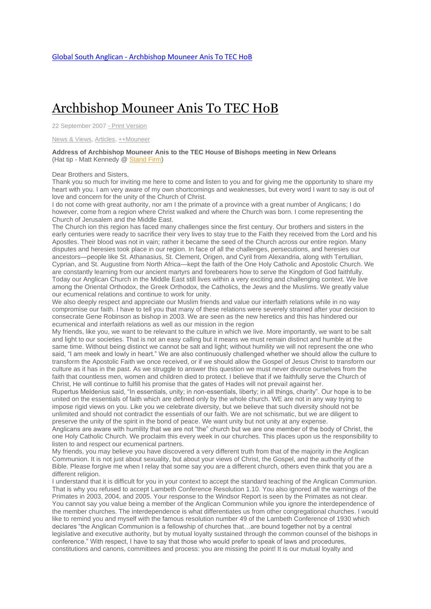## [Archbishop](http://www.globalsouthanglican.org/index.php/blog/comments/archbishop_mouneer_anis_to_tec_hob) Mouneer Anis To TEC HoB

22 September 2007 - Print [Version](http://globalsouthanglican.org/index.php/blog/printing/archbishop_mouneer_anis_to_tec_hob)

News & [Views,](http://globalsouthanglican.org/index.php/archives/category/news_views) [Articles,](http://globalsouthanglican.org/index.php/archives/category/articles) [++Mouneer](http://globalsouthanglican.org/index.php/archives/category/mouneer)

**Address of Archbishop Mouneer Anis to the TEC House of Bishops meeting in New Orleans** (Hat tip - Matt Kennedy @ [Stand](http://www.standfirminfaith.com/index.php/site/article/6132/) Firm)

Dear Brothers and Sisters,

Thank you so much for inviting me here to come and listen to you and for giving me the opportunity to share my heart with you. I am very aware of my own shortcomings and weaknesses, but every word I want to say is out of love and concern for the unity of the Church of Christ.

I do not come with great authority, nor am I the primate of a province with a great number of Anglicans; I do however, come from a region where Christ walked and where the Church was born. I come representing the Church of Jerusalem and the Middle East.

The Church ion this region has faced many challenges since the first century. Our brothers and sisters in the early centuries were ready to sacrifice their very lives to stay true to the Faith they received from the Lord and his Apostles. Their blood was not in vain; rather it became the seed of the Church across our entire region. Many disputes and heresies took place in our region. In face of all the challenges, persecutions, and heresies our ancestors—people like St. Athanasius, St. Clement, Origen, and Cyril from Alexandria, along with Tertullian, Cyprian, and St. Augustine from North Africa—kept the faith of the One Holy Catholic and Apostolic Church. We are constantly learning from our ancient martyrs and forebearers how to serve the Kingdom of God faithfully. Today our Anglican Church in the Middle East still lives within a very exciting and challenging context. We live among the Oriental Orthodox, the Greek Orthodox, the Catholics, the Jews and the Muslims. We greatly value our ecumenical relations and continue to work for unity.

We also deeply respect and appreciate our Muslim friends and value our interfaith relations while in no way compromise our faith. I have to tell you that many of these relations were severely strained after your decision to consecrate Gene Robinson as bishop in 2003. We are seen as the new heretics and this has hindered our ecumenical and interfaith relations as well as our mission in the region

My friends, like you, we want to be relevant to the culture in which we live. More importantly, we want to be salt and light to our societies. That is not an easy calling but it means we must remain distinct and humble at the same time. Without being distinct we cannot be salt and light; without humility we will not represent the one who said, "I am meek and lowly in heart." We are also continuously challenged whether we should allow the culture to transform the Apostolic Faith we once received, or if we should allow the Gospel of Jesus Christ to transform our culture as it has in the past. As we struggle to answer this question we must never divorce ourselves from the faith that countless men, women and children died to protect. I believe that if we faithfully serve the Church of Christ, He will continue to fulfill his promise that the gates of Hades will not prevail against her.

Rupertus Meldenius said, "In essentials, unity; in non-essentials, liberty; in all things, charity". Our hope is to be united on the essentials of faith which are defined only by the whole church. WE are not in any way trying to impose rigid views on you. Like you we celebrate diversity, but we believe that such diversity should not be unlimited and should not contradict the essentials of our faith. We are not schismatic, but we are diligent to preserve the unity of the spirit in the bond of peace. We want unity but not unity at any expense.

Anglicans are aware with humility that we are not "the" church but we are one member of the body of Christ, the one Holy Catholic Church. We proclaim this every week in our churches. This places upon us the responsibility to listen to and respect our ecumenical partners.

My friends, you may believe you have discovered a very different truth from that of the majority in the Anglican Communion. It is not just about sexuality, but about your views of Christ, the Gospel, and the authority of the Bible. Please forgive me when I relay that some say you are a different church, others even think that you are a different religion.

I understand that it is difficult for you in your context to accept the standard teaching of the Anglican Communion. That is why you refused to accept Lambeth Conference Resolution 1.10. You also ignored all the warnings of the Primates in 2003, 2004, and 2005. Your response to the Windsor Report is seen by the Primates as not clear. You cannot say you value being a member of the Anglican Communion while you ignore the interdependence of the member churches. The interdependence is what differentiates us from other congregational churches. I would like to remind you and myself with the famous resolution number 49 of the Lambeth Conference of 1930 which declares "the Anglican Communion is a fellowship of churches that…are bound together not by a central legislative and executive authority, but by mutual loyalty sustained through the common counsel of the bishops in conference." With respect, I have to say that those who would prefer to speak of laws and procedures, constitutions and canons, committees and process: you are missing the point! It is our mutual loyalty and